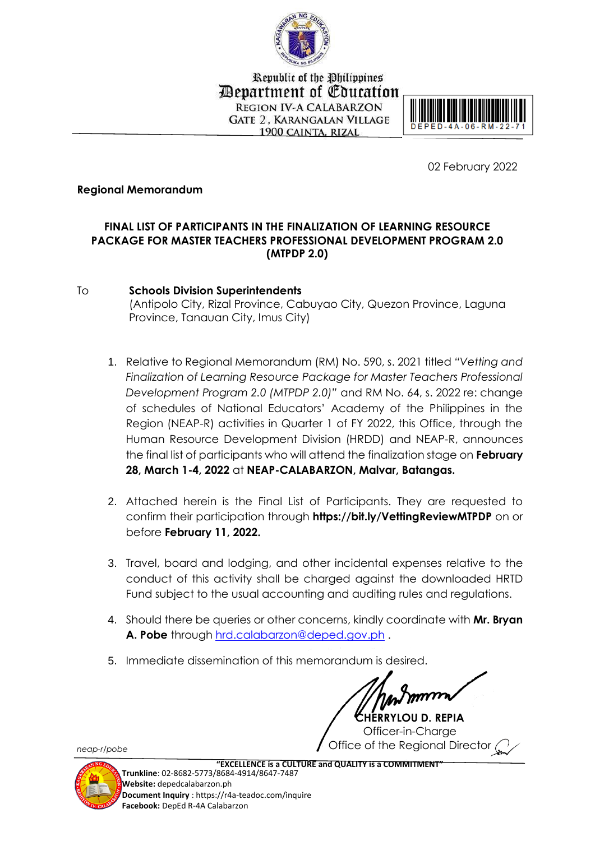

Republic of the Philippines Department of Education **REGION IV-A CALABARZON GATE 2. KARANGALAN VILLAGE** 1900 CAINTA, RIZAL



02 February 2022

## **Regional Memorandum**

## **FINAL LIST OF PARTICIPANTS IN THE FINALIZATION OF LEARNING RESOURCE PACKAGE FOR MASTER TEACHERS PROFESSIONAL DEVELOPMENT PROGRAM 2.0 (MTPDP 2.0)**

To **Schools Division Superintendents**  (Antipolo City, Rizal Province, Cabuyao City, Quezon Province, Laguna Province, Tanauan City, Imus City)

- 1. Relative to Regional Memorandum (RM) No. 590, s. 2021 titled *"Vetting and Finalization of Learning Resource Package for Master Teachers Professional Development Program 2.0 (MTPDP 2.0)"* and RM No. 64, s. 2022 re: change of schedules of National Educators' Academy of the Philippines in the Region (NEAP-R) activities in Quarter 1 of FY 2022, this Office, through the Human Resource Development Division (HRDD) and NEAP-R, announces the final list of participants who will attend the finalization stage on **February 28, March 1-4, 2022** at **NEAP-CALABARZON, Malvar, Batangas.**
- 2. Attached herein is the Final List of Participants. They are requested to confirm their participation through **https://bit.ly/VettingReviewMTPDP** on or before **February 11, 2022.**
- 3. Travel, board and lodging, and other incidental expenses relative to the conduct of this activity shall be charged against the downloaded HRTD Fund subject to the usual accounting and auditing rules and regulations.
- 4. Should there be queries or other concerns, kindly coordinate with **Mr. Bryan A. Pobe** through [hrd.calabarzon@deped.gov.ph](mailto:hrd.calabarzon@deped.gov.ph) .
- 5. Immediate dissemination of this memorandum is desired.

**CHERRYLOU D. REPIA** Officer-in-Charge Office of the Regional Director

*neap-r/pobe*



 **"EXCELLENCE is a CULTURE and QUALITY is a COMMITMENT" Trunkline**: 02-8682-5773/8684-4914/8647-7487

**Website:** depedcalabarzon.ph **Document Inquiry** : https://r4a-teadoc.com/inquire **Facebook:** DepEd R-4A Calabarzon